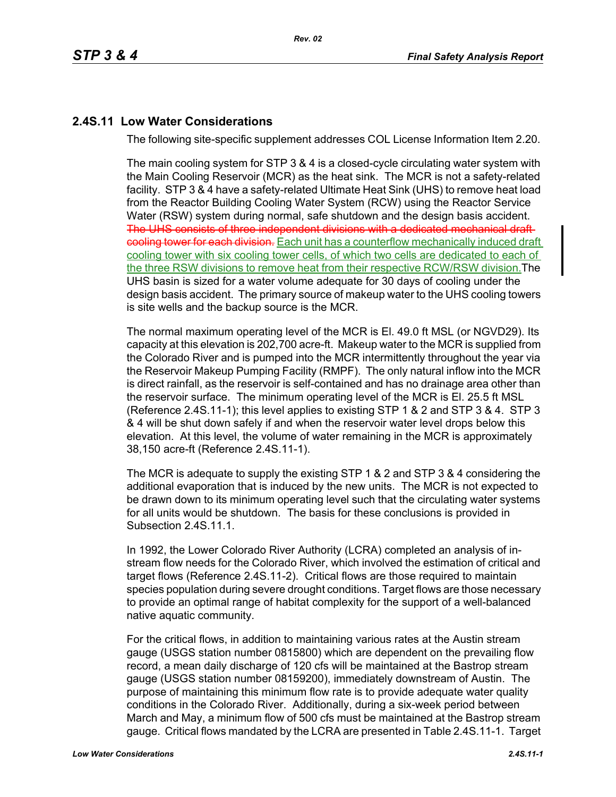# **2.4S.11 Low Water Considerations**

The following site-specific supplement addresses COL License Information Item 2.20.

The main cooling system for STP 3 & 4 is a closed-cycle circulating water system with the Main Cooling Reservoir (MCR) as the heat sink. The MCR is not a safety-related facility. STP 3 & 4 have a safety-related Ultimate Heat Sink (UHS) to remove heat load from the Reactor Building Cooling Water System (RCW) using the Reactor Service Water (RSW) system during normal, safe shutdown and the design basis accident. The UHS consists of three independent divisions with a dedicated mechanical draft cooling tower for each division. Each unit has a counterflow mechanically induced draft cooling tower with six cooling tower cells, of which two cells are dedicated to each of the three RSW divisions to remove heat from their respective RCW/RSW division.The UHS basin is sized for a water volume adequate for 30 days of cooling under the design basis accident. The primary source of makeup water to the UHS cooling towers is site wells and the backup source is the MCR.

The normal maximum operating level of the MCR is El. 49.0 ft MSL (or NGVD29). Its capacity at this elevation is 202,700 acre-ft. Makeup water to the MCR is supplied from the Colorado River and is pumped into the MCR intermittently throughout the year via the Reservoir Makeup Pumping Facility (RMPF). The only natural inflow into the MCR is direct rainfall, as the reservoir is self-contained and has no drainage area other than the reservoir surface. The minimum operating level of the MCR is El. 25.5 ft MSL (Reference [2.4S.11-1\)](#page-4-0); this level applies to existing STP 1 & 2 and STP 3 & 4. STP 3 & 4 will be shut down safely if and when the reservoir water level drops below this elevation. At this level, the volume of water remaining in the MCR is approximately 38,150 acre-ft (Reference [2.4S.11-1\)](#page-4-0).

The MCR is adequate to supply the existing STP 1 & 2 and STP 3 & 4 considering the additional evaporation that is induced by the new units. The MCR is not expected to be drawn down to its minimum operating level such that the circulating water systems for all units would be shutdown. The basis for these conclusions is provided in Subsection 2.4S.11.1.

In 1992, the Lower Colorado River Authority (LCRA) completed an analysis of instream flow needs for the Colorado River, which involved the estimation of critical and target flows (Reference [2.4S.11-2](#page-4-1)). Critical flows are those required to maintain species population during severe drought conditions. Target flows are those necessary to provide an optimal range of habitat complexity for the support of a well-balanced native aquatic community.

For the critical flows, in addition to maintaining various rates at the Austin stream gauge (USGS station number 0815800) which are dependent on the prevailing flow record, a mean daily discharge of 120 cfs will be maintained at the Bastrop stream gauge (USGS station number 08159200), immediately downstream of Austin. The purpose of maintaining this minimum flow rate is to provide adequate water quality conditions in the Colorado River. Additionally, during a six-week period between March and May, a minimum flow of 500 cfs must be maintained at the Bastrop stream gauge. Critical flows mandated by the LCRA are presented in Table [2.4S.11-1](#page-6-0). Target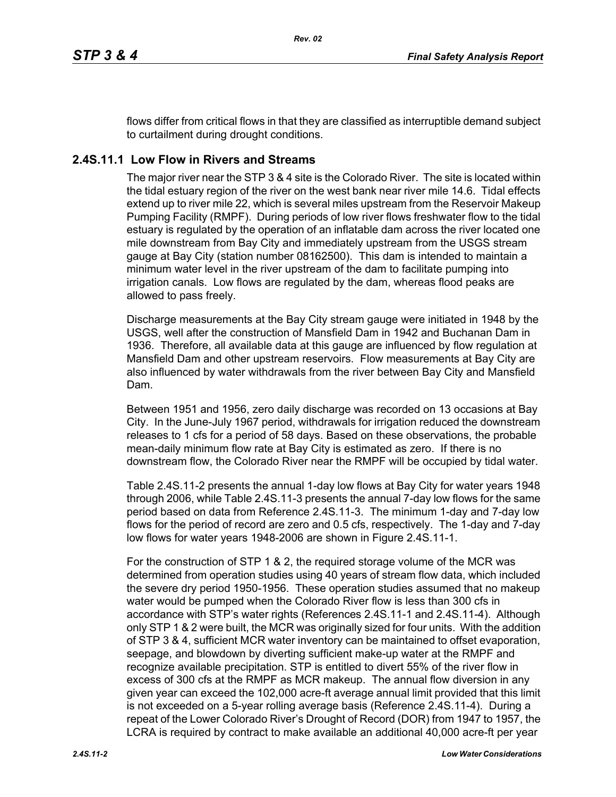flows differ from critical flows in that they are classified as interruptible demand subject to curtailment during drought conditions.

# **2.4S.11.1 Low Flow in Rivers and Streams**

The major river near the STP 3 & 4 site is the Colorado River. The site is located within the tidal estuary region of the river on the west bank near river mile 14.6. Tidal effects extend up to river mile 22, which is several miles upstream from the Reservoir Makeup Pumping Facility (RMPF). During periods of low river flows freshwater flow to the tidal estuary is regulated by the operation of an inflatable dam across the river located one mile downstream from Bay City and immediately upstream from the USGS stream gauge at Bay City (station number 08162500). This dam is intended to maintain a minimum water level in the river upstream of the dam to facilitate pumping into irrigation canals. Low flows are regulated by the dam, whereas flood peaks are allowed to pass freely.

Discharge measurements at the Bay City stream gauge were initiated in 1948 by the USGS, well after the construction of Mansfield Dam in 1942 and Buchanan Dam in 1936. Therefore, all available data at this gauge are influenced by flow regulation at Mansfield Dam and other upstream reservoirs. Flow measurements at Bay City are also influenced by water withdrawals from the river between Bay City and Mansfield Dam.

Between 1951 and 1956, zero daily discharge was recorded on 13 occasions at Bay City. In the June-July 1967 period, withdrawals for irrigation reduced the downstream releases to 1 cfs for a period of 58 days. Based on these observations, the probable mean-daily minimum flow rate at Bay City is estimated as zero. If there is no downstream flow, the Colorado River near the RMPF will be occupied by tidal water.

Table [2.4S.11-2](#page-7-0) presents the annual 1-day low flows at Bay City for water years 1948 through 2006, while Table [2.4S.11-3](#page-8-0) presents the annual 7-day low flows for the same period based on data from Reference [2.4S.11-3.](#page-5-0) The minimum 1-day and 7-day low flows for the period of record are zero and 0.5 cfs, respectively. The 1-day and 7-day low flows for water years 1948-2006 are shown in Figure [2.4S.11-1](#page-9-0).

For the construction of STP 1 & 2, the required storage volume of the MCR was determined from operation studies using 40 years of stream flow data, which included the severe dry period 1950-1956. These operation studies assumed that no makeup water would be pumped when the Colorado River flow is less than 300 cfs in accordance with STP's water rights (References [2.4S.11-1](#page-4-0) and [2.4S.11-4](#page-5-1)). Although only STP 1 & 2 were built, the MCR was originally sized for four units. With the addition of STP 3 & 4, sufficient MCR water inventory can be maintained to offset evaporation, seepage, and blowdown by diverting sufficient make-up water at the RMPF and recognize available precipitation. STP is entitled to divert 55% of the river flow in excess of 300 cfs at the RMPF as MCR makeup. The annual flow diversion in any given year can exceed the 102,000 acre-ft average annual limit provided that this limit is not exceeded on a 5-year rolling average basis (Reference [2.4S.11-4](#page-5-1)). During a repeat of the Lower Colorado River's Drought of Record (DOR) from 1947 to 1957, the LCRA is required by contract to make available an additional 40,000 acre-ft per year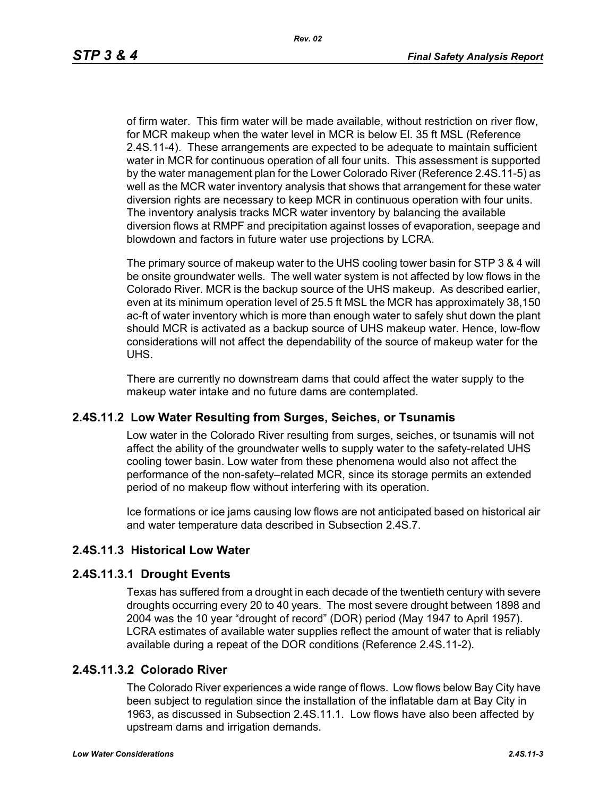of firm water. This firm water will be made available, without restriction on river flow, for MCR makeup when the water level in MCR is below El. 35 ft MSL (Reference [2.4S.11-4\)](#page-5-1). These arrangements are expected to be adequate to maintain sufficient water in MCR for continuous operation of all four units. This assessment is supported by the water management plan for the Lower Colorado River (Reference [2.4S.11-5](#page-5-2)) as well as the MCR water inventory analysis that shows that arrangement for these water diversion rights are necessary to keep MCR in continuous operation with four units. The inventory analysis tracks MCR water inventory by balancing the available diversion flows at RMPF and precipitation against losses of evaporation, seepage and blowdown and factors in future water use projections by LCRA.

The primary source of makeup water to the UHS cooling tower basin for STP 3 & 4 will be onsite groundwater wells. The well water system is not affected by low flows in the Colorado River. MCR is the backup source of the UHS makeup. As described earlier, even at its minimum operation level of 25.5 ft MSL the MCR has approximately 38,150 ac-ft of water inventory which is more than enough water to safely shut down the plant should MCR is activated as a backup source of UHS makeup water. Hence, low-flow considerations will not affect the dependability of the source of makeup water for the UHS.

There are currently no downstream dams that could affect the water supply to the makeup water intake and no future dams are contemplated.

### **2.4S.11.2 Low Water Resulting from Surges, Seiches, or Tsunamis**

Low water in the Colorado River resulting from surges, seiches, or tsunamis will not affect the ability of the groundwater wells to supply water to the safety-related UHS cooling tower basin. Low water from these phenomena would also not affect the performance of the non-safety–related MCR, since its storage permits an extended period of no makeup flow without interfering with its operation.

Ice formations or ice jams causing low flows are not anticipated based on historical air and water temperature data described in Subsection 2.4S.7.

# **2.4S.11.3 Historical Low Water**

### **2.4S.11.3.1 Drought Events**

Texas has suffered from a drought in each decade of the twentieth century with severe droughts occurring every 20 to 40 years. The most severe drought between 1898 and 2004 was the 10 year "drought of record" (DOR) period (May 1947 to April 1957). LCRA estimates of available water supplies reflect the amount of water that is reliably available during a repeat of the DOR conditions (Reference [2.4S.11-2\)](#page-4-1).

### **2.4S.11.3.2 Colorado River**

The Colorado River experiences a wide range of flows. Low flows below Bay City have been subject to regulation since the installation of the inflatable dam at Bay City in 1963, as discussed in Subsection 2.4S.11.1. Low flows have also been affected by upstream dams and irrigation demands.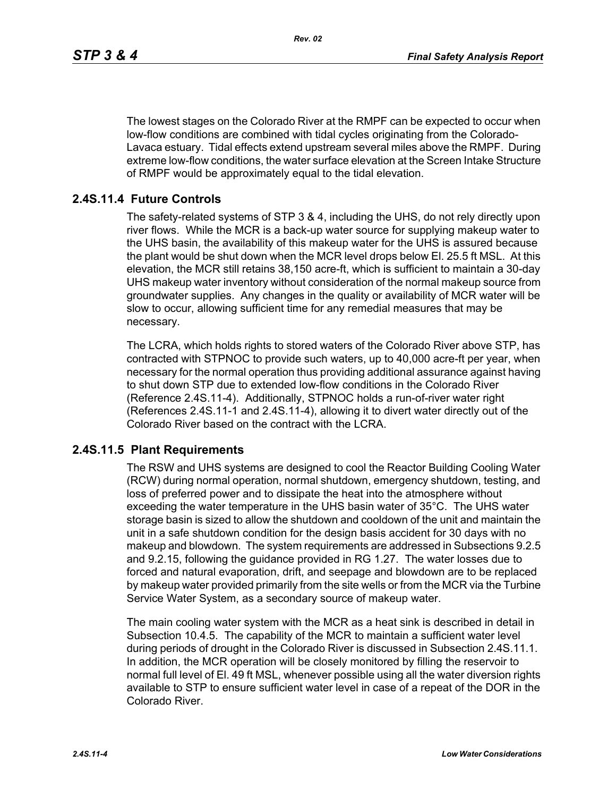The lowest stages on the Colorado River at the RMPF can be expected to occur when low-flow conditions are combined with tidal cycles originating from the Colorado-Lavaca estuary. Tidal effects extend upstream several miles above the RMPF. During extreme low-flow conditions, the water surface elevation at the Screen Intake Structure of RMPF would be approximately equal to the tidal elevation.

## **2.4S.11.4 Future Controls**

The safety-related systems of STP 3 & 4, including the UHS, do not rely directly upon river flows. While the MCR is a back-up water source for supplying makeup water to the UHS basin, the availability of this makeup water for the UHS is assured because the plant would be shut down when the MCR level drops below El. 25.5 ft MSL. At this elevation, the MCR still retains 38,150 acre-ft, which is sufficient to maintain a 30-day UHS makeup water inventory without consideration of the normal makeup source from groundwater supplies. Any changes in the quality or availability of MCR water will be slow to occur, allowing sufficient time for any remedial measures that may be necessary.

The LCRA, which holds rights to stored waters of the Colorado River above STP, has contracted with STPNOC to provide such waters, up to 40,000 acre-ft per year, when necessary for the normal operation thus providing additional assurance against having to shut down STP due to extended low-flow conditions in the Colorado River (Reference [2.4S.11-4\)](#page-5-1). Additionally, STPNOC holds a run-of-river water right (References [2.4S.11-1](#page-4-0) and [2.4S.11-4\)](#page-5-1), allowing it to divert water directly out of the Colorado River based on the contract with the LCRA.

### **2.4S.11.5 Plant Requirements**

The RSW and UHS systems are designed to cool the Reactor Building Cooling Water (RCW) during normal operation, normal shutdown, emergency shutdown, testing, and loss of preferred power and to dissipate the heat into the atmosphere without exceeding the water temperature in the UHS basin water of 35°C. The UHS water storage basin is sized to allow the shutdown and cooldown of the unit and maintain the unit in a safe shutdown condition for the design basis accident for 30 days with no makeup and blowdown. The system requirements are addressed in Subsections 9.2.5 and 9.2.15, following the guidance provided in RG 1.27. The water losses due to forced and natural evaporation, drift, and seepage and blowdown are to be replaced by makeup water provided primarily from the site wells or from the MCR via the Turbine Service Water System, as a secondary source of makeup water.

The main cooling water system with the MCR as a heat sink is described in detail in Subsection 10.4.5. The capability of the MCR to maintain a sufficient water level during periods of drought in the Colorado River is discussed in Subsection 2.4S.11.1. In addition, the MCR operation will be closely monitored by filling the reservoir to normal full level of El. 49 ft MSL, whenever possible using all the water diversion rights available to STP to ensure sufficient water level in case of a repeat of the DOR in the Colorado River.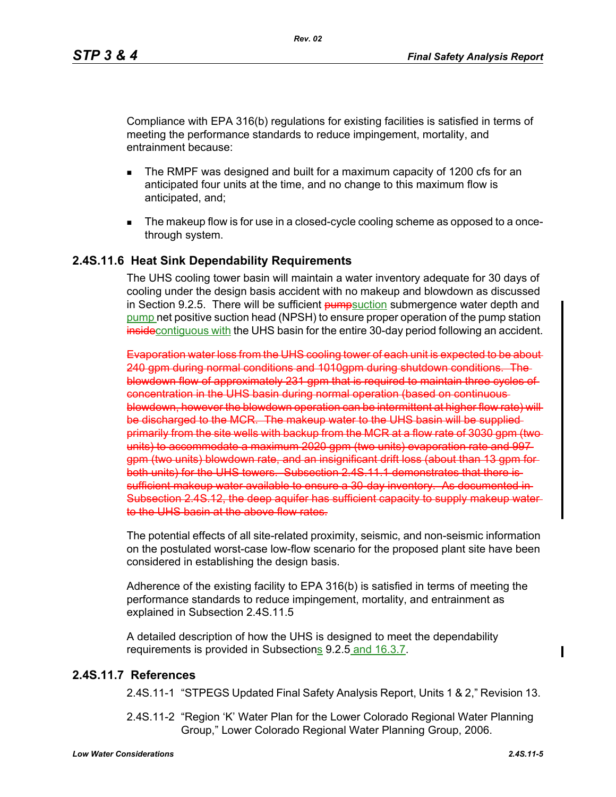Compliance with EPA 316(b) regulations for existing facilities is satisfied in terms of meeting the performance standards to reduce impingement, mortality, and entrainment because:

- The RMPF was designed and built for a maximum capacity of 1200 cfs for an anticipated four units at the time, and no change to this maximum flow is anticipated, and;
- The makeup flow is for use in a closed-cycle cooling scheme as opposed to a oncethrough system.

### **2.4S.11.6 Heat Sink Dependability Requirements**

The UHS cooling tower basin will maintain a water inventory adequate for 30 days of cooling under the design basis accident with no makeup and blowdown as discussed in Section 9.2.5. There will be sufficient **pump**suction submergence water depth and pump net positive suction head (NPSH) to ensure proper operation of the pump station insidecontiguous with the UHS basin for the entire 30-day period following an accident.

Evaporation water loss from the UHS cooling tower of each unit is expected to be about 240 gpm during normal conditions and 1010gpm during shutdown conditions. The blowdown flow of approximately 231 gpm that is required to maintain three cycles of concentration in the UHS basin during normal operation (based on continuous blowdown, however the blowdown operation can be intermittent at higher flow rate) will be discharged to the MCR. The makeup water to the UHS basin will be supplied primarily from the site wells with backup from the MCR at a flow rate of 3030 gpm (twounits) to accommodate a maximum 2020 gpm (two units) evaporation rate and 997gpm (two units) blowdown rate, and an insignificant drift loss (about than 13 gpm for both units) for the UHS towers. Subsection 2.4S.11.1 demonstrates that there is sufficient makeup water available to ensure a 30-day inventory. As documented in Subsection 2.4S.12, the deep aquifer has sufficient capacity to supply makeup water to the UHS basin at the above flow rates.

The potential effects of all site-related proximity, seismic, and non-seismic information on the postulated worst-case low-flow scenario for the proposed plant site have been considered in establishing the design basis.

Adherence of the existing facility to EPA 316(b) is satisfied in terms of meeting the performance standards to reduce impingement, mortality, and entrainment as explained in Subsection 2.4S.11.5

A detailed description of how the UHS is designed to meet the dependability requirements is provided in Subsections 9.2.5 and 16.3.7.

### <span id="page-4-1"></span><span id="page-4-0"></span>**2.4S.11.7 References**

2.4S.11-1 "STPEGS Updated Final Safety Analysis Report, Units 1 & 2," Revision 13.

2.4S.11-2 "Region 'K' Water Plan for the Lower Colorado Regional Water Planning Group," Lower Colorado Regional Water Planning Group, 2006.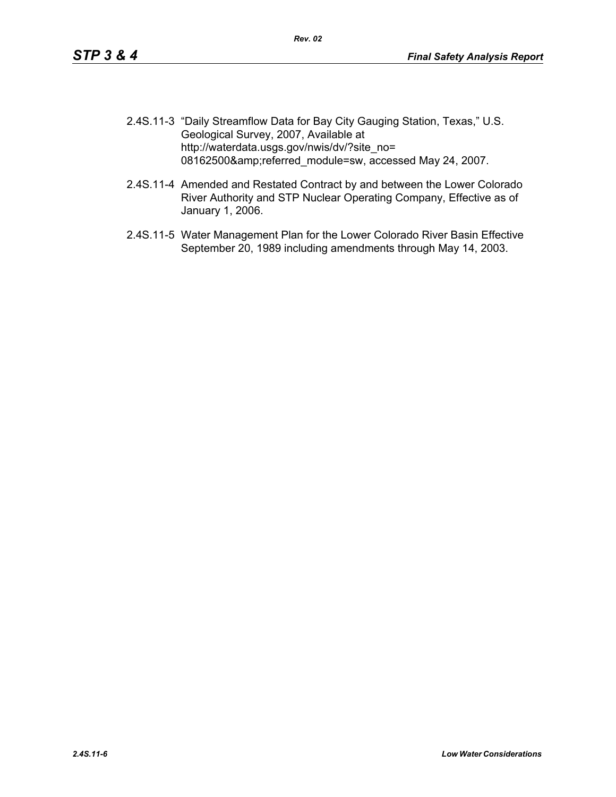- <span id="page-5-0"></span>2.4S.11-3 "Daily Streamflow Data for Bay City Gauging Station, Texas," U.S. Geological Survey, 2007, Available at http://waterdata.usgs.gov/nwis/dv/?site\_no= 08162500&referred\_module=sw, accessed May 24, 2007.
- <span id="page-5-1"></span>2.4S.11-4 Amended and Restated Contract by and between the Lower Colorado River Authority and STP Nuclear Operating Company, Effective as of January 1, 2006.
- <span id="page-5-2"></span>2.4S.11-5 Water Management Plan for the Lower Colorado River Basin Effective September 20, 1989 including amendments through May 14, 2003.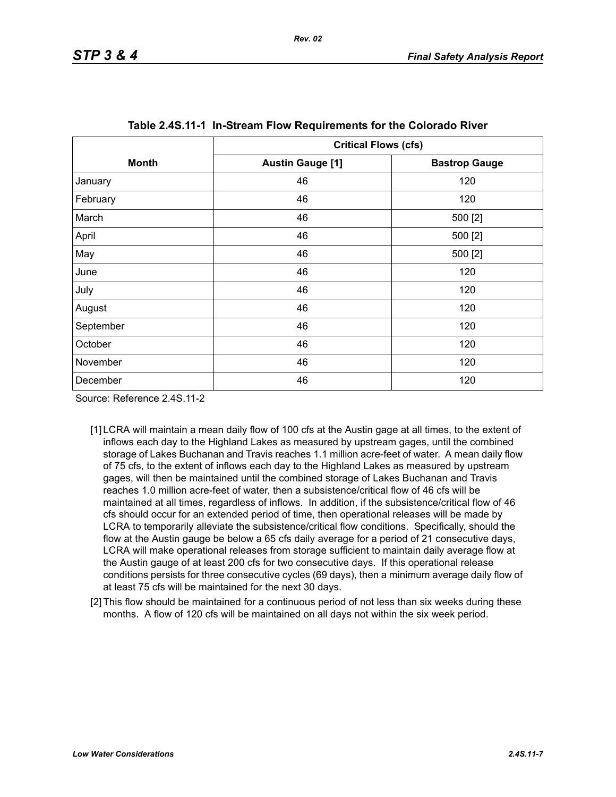<span id="page-6-0"></span>

|              | <b>Critical Flows (cfs)</b> |                      |  |  |
|--------------|-----------------------------|----------------------|--|--|
| <b>Month</b> | <b>Austin Gauge [1]</b>     | <b>Bastrop Gauge</b> |  |  |
| January      | 46                          | 120                  |  |  |
| February     | 46                          | 120                  |  |  |
| March        | 46                          | 500 [2]              |  |  |
| April        | 46                          | 500 [2]              |  |  |
| May          | 46                          | 500 [2]              |  |  |
| June         | 46                          | 120                  |  |  |
| July         | 46                          | 120                  |  |  |
| August       | 46                          | 120                  |  |  |
| September    | 46                          | 120                  |  |  |
| October      | 46                          | 120                  |  |  |
| November     | 46                          | 120                  |  |  |
| December     | 46                          | 120                  |  |  |

Source: Reference 2.4S.11-2

- [1] LCRA will maintain a mean daily flow of 100 cfs at the Austin gage at all times, to the extent of inflows each day to the Highland Lakes as measured by upstream gages, until the combined storage of Lakes Buchanan and Travis reaches 1.1 million acre-feet of water. A mean daily flow of 75 cfs, to the extent of inflows each day to the Highland Lakes as measured by upstream gages, will then be maintained until the combined storage of Lakes Buchanan and Travis reaches 1.0 million acre-feet of water, then a subsistence/critical flow of 46 cfs will be maintained at all times, regardless of inflows. In addition, if the subsistence/critical flow of 46 cfs should occur for an extended period of time, then operational releases will be made by LCRA to temporarily alleviate the subsistence/critical flow conditions. Specifically, should the flow at the Austin gauge be below a 65 cfs daily average for a period of 21 consecutive days, LCRA will make operational releases from storage sufficient to maintain daily average flow at the Austin gauge of at least 200 cfs for two consecutive days. If this operational release conditions persists for three consecutive cycles (69 days), then a minimum average daily flow of at least 75 cfs will be maintained for the next 30 days.
- <span id="page-6-1"></span>[2] This flow should be maintained for a continuous period of not less than six weeks during these months. A flow of 120 cfs will be maintained on all days not within the six week period.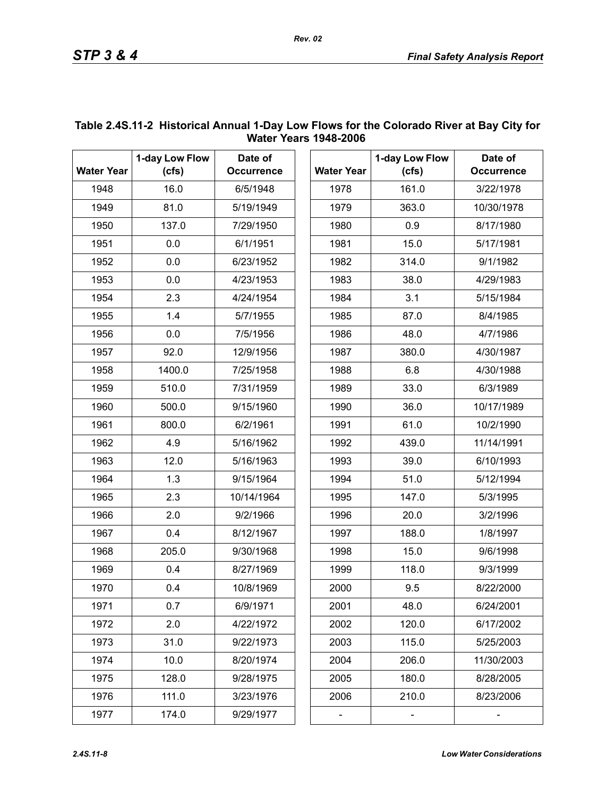| <b>Water Year</b> | 1-day Low Flow<br>(cfs) | Date of           |                   |       | 1-day Low Flow |
|-------------------|-------------------------|-------------------|-------------------|-------|----------------|
|                   |                         | <b>Occurrence</b> | <b>Water Year</b> | (cfs) |                |
| 1948              | 16.0                    | 6/5/1948          |                   | 1978  | 161.0          |
| 1949              | 81.0                    | 5/19/1949         |                   | 1979  | 363.0          |
| 1950              | 137.0                   | 7/29/1950         |                   | 1980  | 0.9            |
| 1951              | 0.0                     | 6/1/1951          |                   | 1981  | 15.0           |
| 1952              | 0.0                     | 6/23/1952         |                   | 1982  | 314.0          |
| 1953              | 0.0                     | 4/23/1953         |                   | 1983  | 38.0           |
| 1954              | 2.3                     | 4/24/1954         |                   | 1984  | 3.1            |
| 1955              | 1.4                     | 5/7/1955          | 1985              |       | 87.0           |
| 1956              | 0.0                     | 7/5/1956          | 1986              |       | 48.0           |
| 1957              | 92.0                    | 12/9/1956         | 1987              |       | 380.0          |
| 1958              | 1400.0                  | 7/25/1958         | 1988              |       | 6.8            |
| 1959              | 510.0                   | 7/31/1959         | 1989              |       | 33.0           |
| 1960              | 500.0                   | 9/15/1960         | 1990              |       | 36.0           |
| 1961              | 800.0                   | 6/2/1961          | 1991              |       | 61.0           |
| 1962              | 4.9                     | 5/16/1962         | 1992              |       | 439.0          |
| 1963              | 12.0                    | 5/16/1963         | 1993              |       | 39.0           |
| 1964              | 1.3                     | 9/15/1964         | 1994              |       | 51.0           |
| 1965              | 2.3                     | 10/14/1964        | 1995              |       | 147.0          |
| 1966              | 2.0                     | 9/2/1966          | 1996              |       | 20.0           |
| 1967              | 0.4                     | 8/12/1967         | 1997              |       | 188.0          |
| 1968              | 205.0                   | 9/30/1968         | 1998              |       | 15.0           |
| 1969              | 0.4                     | 8/27/1969         | 1999              |       | 118.0          |
| 1970              | 0.4                     | 10/8/1969         | 2000              |       | 9.5            |
| 1971              | 0.7                     | 6/9/1971          | 2001              |       | 48.0           |
| 1972              | 2.0                     | 4/22/1972         | 2002              |       | 120.0          |
| 1973              | 31.0                    | 9/22/1973         | 2003              |       | 115.0          |
| 1974              | 10.0                    | 8/20/1974         | 2004              |       | 206.0          |
| 1975              | 128.0                   | 9/28/1975         | 2005              |       | 180.0          |
| 1976              | 111.0                   | 3/23/1976         | 2006              |       | 210.0          |
| 1977              | 174.0                   | 9/29/1977         |                   |       |                |

## <span id="page-7-0"></span>**Table 2.4S.11-2 Historical Annual 1-Day Low Flows for the Colorado River at Bay City for Water Years 1948-2006**

*Rev. 02*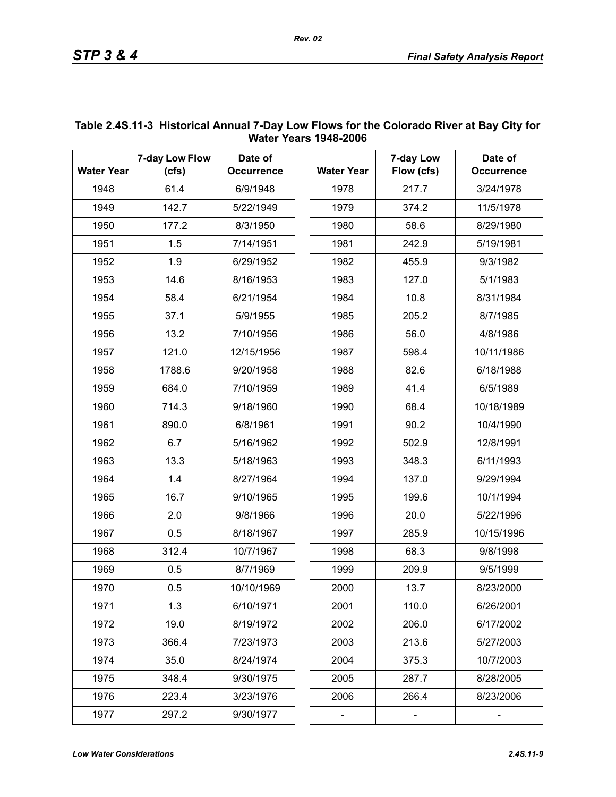| <b>Water Year</b> | 7-day Low Flow<br>(cfs) | Date of<br><b>Occurrence</b> | <b>Water Year</b> | 7-day Low<br>Flow (cfs) | Date of<br><b>Occurrence</b> |
|-------------------|-------------------------|------------------------------|-------------------|-------------------------|------------------------------|
| 1948              | 61.4                    | 6/9/1948                     | 1978              | 217.7                   | 3/24/1978                    |
| 1949              | 142.7                   | 5/22/1949                    | 1979              | 374.2                   | 11/5/1978                    |
| 1950              | 177.2                   | 8/3/1950                     | 1980              | 58.6                    | 8/29/1980                    |
| 1951              | 1.5                     | 7/14/1951                    | 1981              | 242.9                   | 5/19/1981                    |
| 1952              | 1.9                     | 6/29/1952                    | 1982              | 455.9                   | 9/3/1982                     |
| 1953              | 14.6                    | 8/16/1953                    | 1983              | 127.0                   | 5/1/1983                     |
| 1954              | 58.4                    | 6/21/1954                    | 1984              | 10.8                    | 8/31/1984                    |
| 1955              | 37.1                    | 5/9/1955                     | 1985              | 205.2                   | 8/7/1985                     |
| 1956              | 13.2                    | 7/10/1956                    | 1986              | 56.0                    | 4/8/1986                     |
| 1957              | 121.0                   | 12/15/1956                   | 1987              | 598.4                   | 10/11/1986                   |
| 1958              | 1788.6                  | 9/20/1958                    | 1988              | 82.6                    | 6/18/1988                    |
| 1959              | 684.0                   | 7/10/1959                    | 1989              | 41.4                    | 6/5/1989                     |
| 1960              | 714.3                   | 9/18/1960                    | 1990              | 68.4                    | 10/18/1989                   |
| 1961              | 890.0                   | 6/8/1961                     | 1991              | 90.2                    | 10/4/1990                    |
| 1962              | 6.7                     | 5/16/1962                    | 1992              | 502.9                   | 12/8/1991                    |
| 1963              | 13.3                    | 5/18/1963                    | 1993              | 348.3                   | 6/11/1993                    |
| 1964              | 1.4                     | 8/27/1964                    | 1994              | 137.0                   | 9/29/1994                    |
| 1965              | 16.7                    | 9/10/1965                    | 1995              | 199.6                   | 10/1/1994                    |
| 1966              | 2.0                     | 9/8/1966                     | 1996              | 20.0                    | 5/22/1996                    |
| 1967              | 0.5                     | 8/18/1967                    | 1997              | 285.9                   | 10/15/1996                   |
| 1968              | 312.4                   | 10/7/1967                    | 1998              | 68.3                    | 9/8/1998                     |
| 1969              | 0.5                     | 8/7/1969                     | 1999              | 209.9                   | 9/5/1999                     |
| 1970              | 0.5                     | 10/10/1969                   | 2000              | 13.7                    | 8/23/2000                    |
| 1971              | 1.3                     | 6/10/1971                    | 2001              | 110.0                   | 6/26/2001                    |
| 1972              | 19.0                    | 8/19/1972                    | 2002              | 206.0                   | 6/17/2002                    |
| 1973              | 366.4                   | 7/23/1973                    | 2003              | 213.6                   | 5/27/2003                    |
| 1974              | 35.0                    | 8/24/1974                    | 2004              | 375.3                   | 10/7/2003                    |
| 1975              | 348.4                   | 9/30/1975                    | 2005              | 287.7                   | 8/28/2005                    |
| 1976              | 223.4                   | 3/23/1976                    | 2006              | 266.4                   | 8/23/2006                    |
| 1977              | 297.2                   | 9/30/1977                    |                   |                         |                              |

## <span id="page-8-0"></span>**Table 2.4S.11-3 Historical Annual 7-Day Low Flows for the Colorado River at Bay City for Water Years 1948-2006**